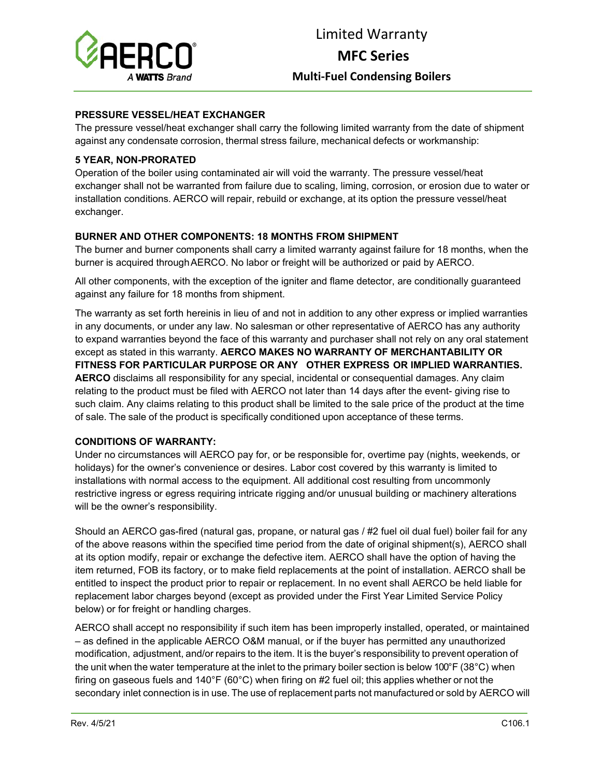

### **PRESSURE VESSEL/HEAT EXCHANGER**

The pressure vessel/heat exchanger shall carry the following limited warranty from the date of shipment against any condensate corrosion, thermal stress failure, mechanical defects or workmanship:

# **5 YEAR, NON-PRORATED**

Operation of the boiler using contaminated air will void the warranty. The pressure vessel/heat exchanger shall not be warranted from failure due to scaling, liming, corrosion, or erosion due to water or installation conditions. AERCO will repair, rebuild or exchange, at its option the pressure vessel/heat exchanger.

# **BURNER AND OTHER COMPONENTS: 18 MONTHS FROM SHIPMENT**

The burner and burner components shall carry a limited warranty against failure for 18 months, when the burner is acquired through AERCO. No labor or freight will be authorized or paid by AERCO.

All other components, with the exception of the igniter and flame detector, are conditionally guaranteed against any failure for 18 months from shipment.

The warranty as set forth hereinis in lieu of and not in addition to any other express or implied warranties in any documents, or under any law. No salesman or other representative of AERCO has any authority to expand warranties beyond the face of this warranty and purchaser shall not rely on any oral statement except as stated in this warranty. **AERCO MAKES NO WARRANTY OF MERCHANTABILITY OR FITNESS FOR PARTICULAR PURPOSE OR ANY OTHER EXPRESS OR IMPLIED WARRANTIES. AERCO** disclaims all responsibility for any special, incidental or consequential damages. Any claim relating to the product must be filed with AERCO not later than 14 days after the event- giving rise to such claim. Any claims relating to this product shall be limited to the sale price of the product at the time of sale. The sale of the product is specifically conditioned upon acceptance of these terms.

#### **CONDITIONS OF WARRANTY:**

Under no circumstances will AERCO pay for, or be responsible for, overtime pay (nights, weekends, or holidays) for the owner's convenience or desires. Labor cost covered by this warranty is limited to installations with normal access to the equipment. All additional cost resulting from uncommonly restrictive ingress or egress requiring intricate rigging and/or unusual building or machinery alterations will be the owner's responsibility.

Should an AERCO gas-fired (natural gas, propane, or natural gas / #2 fuel oil dual fuel) boiler fail for any of the above reasons within the specified time period from the date of original shipment(s), AERCO shall at its option modify, repair or exchange the defective item. AERCO shall have the option of having the item returned, FOB its factory, or to make field replacements at the point of installation. AERCO shall be entitled to inspect the product prior to repair or replacement. In no event shall AERCO be held liable for replacement labor charges beyond (except as provided under the First Year Limited Service Policy below) or for freight or handling charges.

AERCO shall accept no responsibility if such item has been improperly installed, operated, or maintained – as defined in the applicable AERCO O&M manual, or if the buyer has permitted any unauthorized modification, adjustment, and/or repairs to the item. It is the buyer's responsibility to prevent operation of the unit when the water temperature at the inlet to the primary boiler section is below 100°F (38°C) when firing on gaseous fuels and 140°F (60°C) when firing on #2 fuel oil; this applies whether or not the secondary inlet connection is in use. The use of replacement parts not manufactured or sold by AERCO will